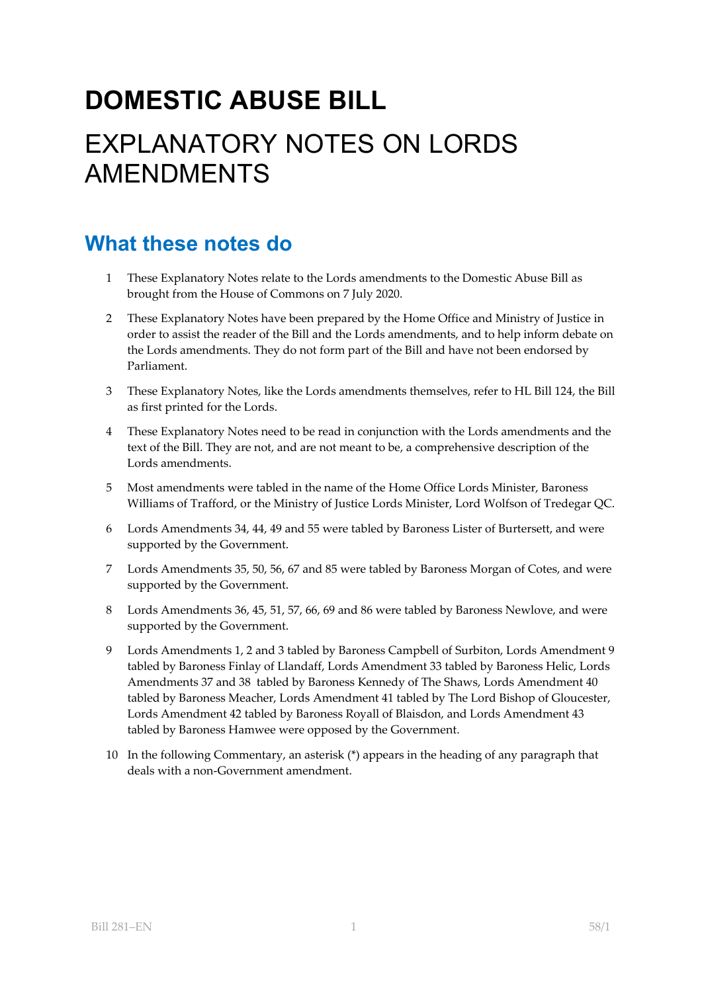# **DOMESTIC ABUSE BILL**  EXPLANATORY NOTES ON LORDS AMENDMENTS

# **What these notes do**

- 1 These Explanatory Notes relate to the Lords amendments to the Domestic Abuse Bill as brought from the House of Commons on 7 July 2020.
- 2 These Explanatory Notes have been prepared by the Home Office and Ministry of Justice in order to assist the reader of the Bill and the Lords amendments, and to help inform debate on the Lords amendments. They do not form part of the Bill and have not been endorsed by Parliament.
- 3 These Explanatory Notes, like the Lords amendments themselves, refer to HL Bill 124, the Bill as first printed for the Lords.
- 4 These Explanatory Notes need to be read in conjunction with the Lords amendments and the text of the Bill. They are not, and are not meant to be, a comprehensive description of the Lords amendments.
- 5 Most amendments were tabled in the name of the Home Office Lords Minister, Baroness Williams of Trafford, or the Ministry of Justice Lords Minister, Lord Wolfson of Tredegar QC.
- 6 Lords Amendments 34, 44, 49 and 55 were tabled by Baroness Lister of Burtersett, and were supported by the Government.
- 7 Lords Amendments 35, 50, 56, 67 and 85 were tabled by Baroness Morgan of Cotes, and were supported by the Government.
- 8 Lords Amendments 36, 45, 51, 57, 66, 69 and 86 were tabled by Baroness Newlove, and were supported by the Government.
- 9 Lords Amendments 1, 2 and 3 tabled by Baroness Campbell of Surbiton, Lords Amendment 9 tabled by Baroness Finlay of Llandaff, Lords Amendment 33 tabled by Baroness Helic, Lords Amendments 37 and 38 tabled by Baroness Kennedy of The Shaws, Lords Amendment 40 tabled by Baroness Meacher, Lords Amendment 41 tabled by The Lord Bishop of Gloucester, Lords Amendment 42 tabled by Baroness Royall of Blaisdon, and Lords Amendment 43 tabled by Baroness Hamwee were opposed by the Government.
- 10 In the following Commentary, an asterisk (\*) appears in the heading of any paragraph that deals with a non-Government amendment.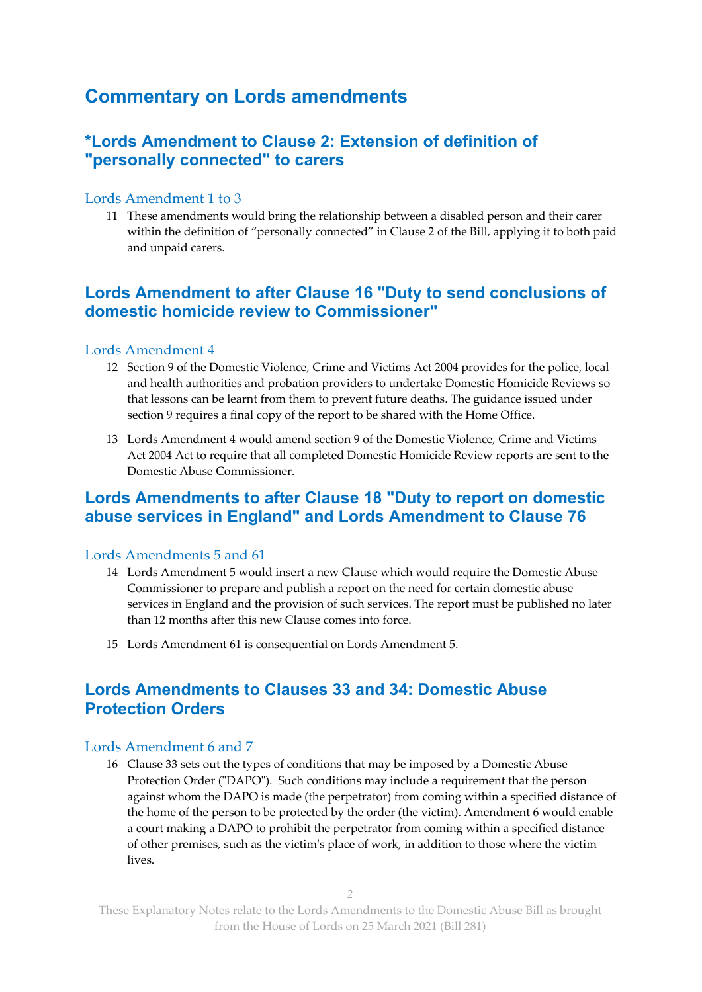## **Commentary on Lords amendments**

## **\*Lords Amendment to Clause 2: Extension of definition of "personally connected" to carers**

#### Lords Amendment 1 to 3

11 These amendments would bring the relationship between a disabled person and their carer within the definition of "personally connected" in Clause 2 of the Bill, applying it to both paid and unpaid carers.

## **Lords Amendment to after Clause 16 "Duty to send conclusions of domestic homicide review to Commissioner"**

#### Lords Amendment 4

- 12 Section 9 of the Domestic Violence, Crime and Victims Act 2004 provides for the police, local and health authorities and probation providers to undertake Domestic Homicide Reviews so that lessons can be learnt from them to prevent future deaths. The guidance issued under section 9 requires a final copy of the report to be shared with the Home Office.
- 13 Lords Amendment 4 would amend section 9 of the Domestic Violence, Crime and Victims Act 2004 Act to require that all completed Domestic Homicide Review reports are sent to the Domestic Abuse Commissioner.

### **Lords Amendments to after Clause 18 "Duty to report on domestic abuse services in England" and Lords Amendment to Clause 76**

#### Lords Amendments 5 and 61

- 14 Lords Amendment 5 would insert a new Clause which would require the Domestic Abuse Commissioner to prepare and publish a report on the need for certain domestic abuse services in England and the provision of such services. The report must be published no later than 12 months after this new Clause comes into force.
- 15 Lords Amendment 61 is consequential on Lords Amendment 5.

## **Lords Amendments to Clauses 33 and 34: Domestic Abuse Protection Orders**

#### Lords Amendment 6 and 7

16 Clause 33 sets out the types of conditions that may be imposed by a Domestic Abuse Protection Order ("DAPO"). Such conditions may include a requirement that the person against whom the DAPO is made (the perpetrator) from coming within a specified distance of the home of the person to be protected by the order (the victim). Amendment 6 would enable a court making a DAPO to prohibit the perpetrator from coming within a specified distance of other premises, such as the victim's place of work, in addition to those where the victim lives.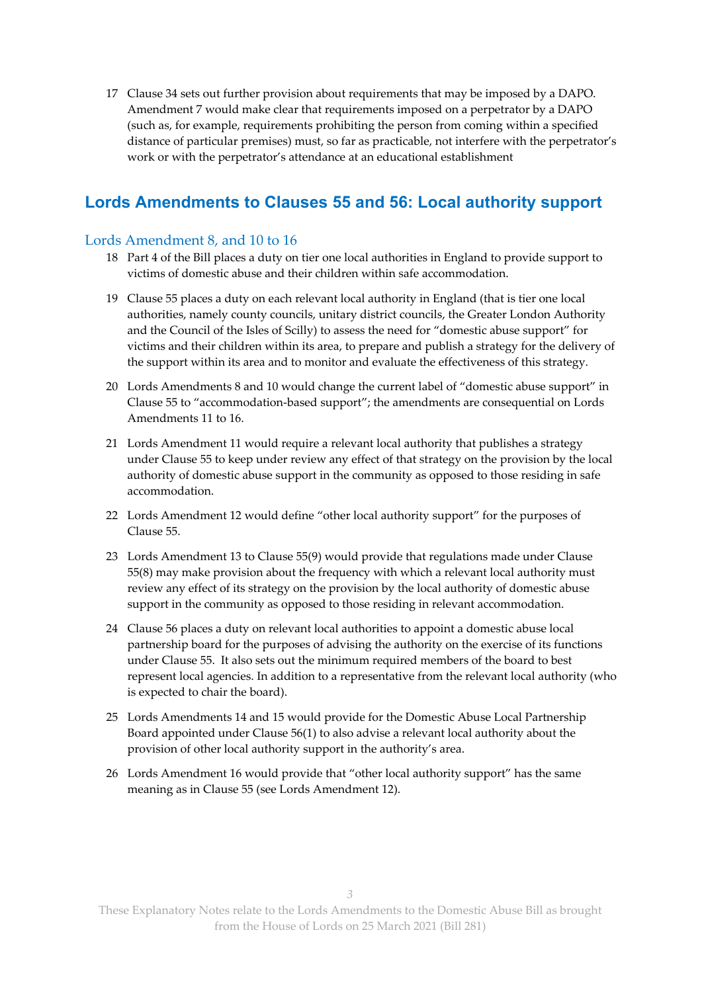17 Clause 34 sets out further provision about requirements that may be imposed by a DAPO. Amendment 7 would make clear that requirements imposed on a perpetrator by a DAPO (such as, for example, requirements prohibiting the person from coming within a specified distance of particular premises) must, so far as practicable, not interfere with the perpetrator's work or with the perpetrator's attendance at an educational establishment

## **Lords Amendments to Clauses 55 and 56: Local authority support**

#### Lords Amendment 8, and 10 to 16

- 18 Part 4 of the Bill places a duty on tier one local authorities in England to provide support to victims of domestic abuse and their children within safe accommodation.
- 19 Clause 55 places a duty on each relevant local authority in England (that is tier one local authorities, namely county councils, unitary district councils, the Greater London Authority and the Council of the Isles of Scilly) to assess the need for "domestic abuse support" for victims and their children within its area, to prepare and publish a strategy for the delivery of the support within its area and to monitor and evaluate the effectiveness of this strategy.
- 20 Lords Amendments 8 and 10 would change the current label of "domestic abuse support" in Clause 55 to "accommodation-based support"; the amendments are consequential on Lords Amendments 11 to 16.
- 21 Lords Amendment 11 would require a relevant local authority that publishes a strategy under Clause 55 to keep under review any effect of that strategy on the provision by the local authority of domestic abuse support in the community as opposed to those residing in safe accommodation.
- 22 Lords Amendment 12 would define "other local authority support" for the purposes of Clause 55.
- 23 Lords Amendment 13 to Clause 55(9) would provide that regulations made under Clause 55(8) may make provision about the frequency with which a relevant local authority must review any effect of its strategy on the provision by the local authority of domestic abuse support in the community as opposed to those residing in relevant accommodation.
- 24 Clause 56 places a duty on relevant local authorities to appoint a domestic abuse local partnership board for the purposes of advising the authority on the exercise of its functions under Clause 55. It also sets out the minimum required members of the board to best represent local agencies. In addition to a representative from the relevant local authority (who is expected to chair the board).
- 25 Lords Amendments 14 and 15 would provide for the Domestic Abuse Local Partnership Board appointed under Clause 56(1) to also advise a relevant local authority about the provision of other local authority support in the authority's area.
- 26 Lords Amendment 16 would provide that "other local authority support" has the same meaning as in Clause 55 (see Lords Amendment 12).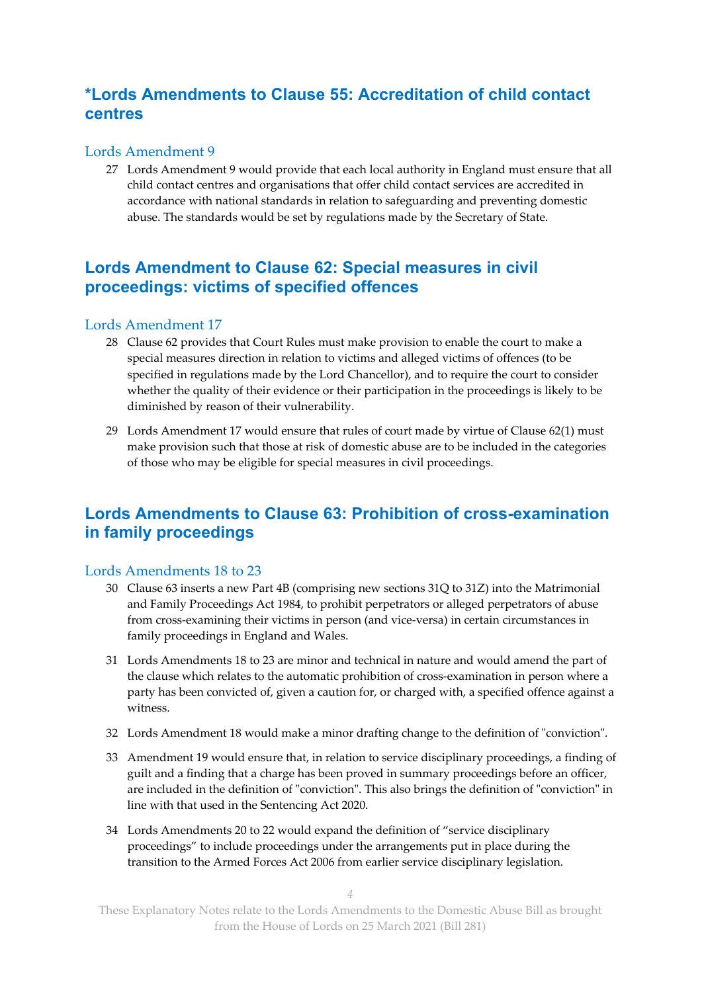## **\*Lords Amendments to Clause 55: Accreditation of child contact centres**

#### Lords Amendment 9

27 Lords Amendment 9 would provide that each local authority in England must ensure that all child contact centres and organisations that offer child contact services are accredited in accordance with national standards in relation to safeguarding and preventing domestic abuse. The standards would be set by regulations made by the Secretary of State.

## **Lords Amendment to Clause 62: Special measures in civil proceedings: victims of specified offences**

#### Lords Amendment 17

- 28 Clause 62 provides that Court Rules must make provision to enable the court to make a special measures direction in relation to victims and alleged victims of offences (to be specified in regulations made by the Lord Chancellor), and to require the court to consider whether the quality of their evidence or their participation in the proceedings is likely to be diminished by reason of their vulnerability.
- 29 Lords Amendment 17 would ensure that rules of court made by virtue of Clause 62(1) must make provision such that those at risk of domestic abuse are to be included in the categories of those who may be eligible for special measures in civil proceedings.

## **Lords Amendments to Clause 63: Prohibition of cross-examination in family proceedings**

#### Lords Amendments 18 to 23

- 30 Clause 63 inserts a new Part 4B (comprising new sections 31Q to 31Z) into the Matrimonial and Family Proceedings Act 1984, to prohibit perpetrators or alleged perpetrators of abuse from cross-examining their victims in person (and vice-versa) in certain circumstances in family proceedings in England and Wales.
- 31 Lords Amendments 18 to 23 are minor and technical in nature and would amend the part of the clause which relates to the automatic prohibition of cross-examination in person where a party has been convicted of, given a caution for, or charged with, a specified offence against a witness.
- 32 Lords Amendment 18 would make a minor drafting change to the definition of "conviction".
- 33 Amendment 19 would ensure that, in relation to service disciplinary proceedings, a finding of guilt and a finding that a charge has been proved in summary proceedings before an officer, are included in the definition of "conviction". This also brings the definition of "conviction" in line with that used in the Sentencing Act 2020.
- 34 Lords Amendments 20 to 22 would expand the definition of "service disciplinary proceedings" to include proceedings under the arrangements put in place during the transition to the Armed Forces Act 2006 from earlier service disciplinary legislation.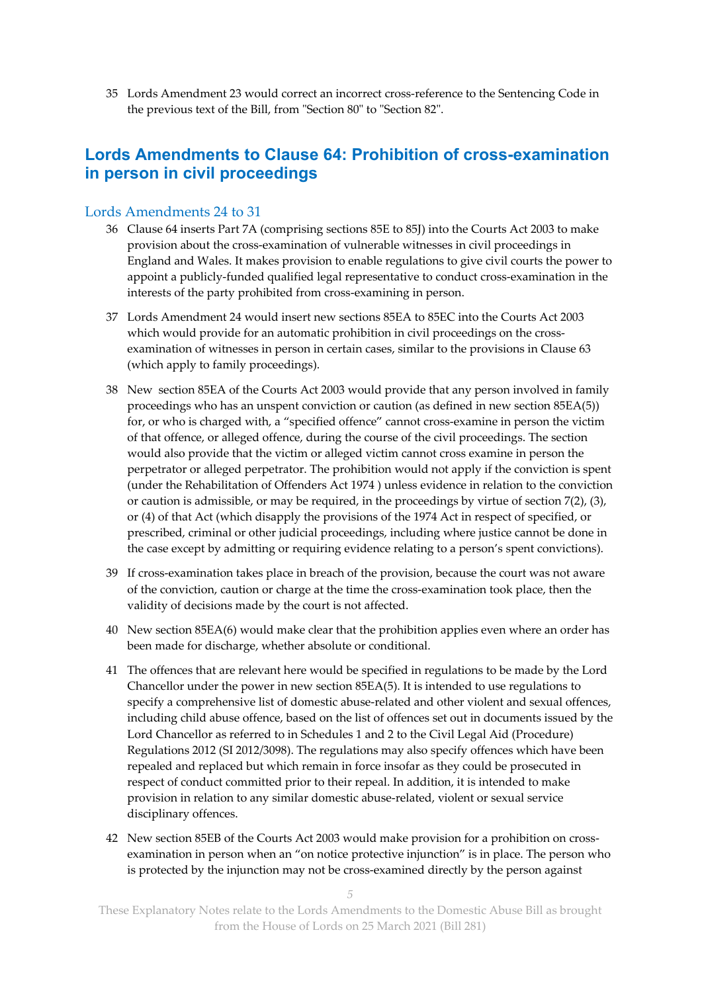35 Lords Amendment 23 would correct an incorrect cross-reference to the Sentencing Code in the previous text of the Bill, from "Section 80" to "Section 82".

## **Lords Amendments to Clause 64: Prohibition of cross-examination in person in civil proceedings**

#### Lords Amendments 24 to 31

- 36 Clause 64 inserts Part 7A (comprising sections 85E to 85J) into the Courts Act 2003 to make provision about the cross-examination of vulnerable witnesses in civil proceedings in England and Wales. It makes provision to enable regulations to give civil courts the power to appoint a publicly-funded qualified legal representative to conduct cross-examination in the interests of the party prohibited from cross-examining in person.
- 37 Lords Amendment 24 would insert new sections 85EA to 85EC into the Courts Act 2003 which would provide for an automatic prohibition in civil proceedings on the crossexamination of witnesses in person in certain cases, similar to the provisions in Clause 63 (which apply to family proceedings).
- 38 New section 85EA of the Courts Act 2003 would provide that any person involved in family proceedings who has an unspent conviction or caution (as defined in new section 85EA(5)) for, or who is charged with, a "specified offence" cannot cross-examine in person the victim of that offence, or alleged offence, during the course of the civil proceedings. The section would also provide that the victim or alleged victim cannot cross examine in person the perpetrator or alleged perpetrator. The prohibition would not apply if the conviction is spent (under the Rehabilitation of Offenders Act 1974 ) unless evidence in relation to the conviction or caution is admissible, or may be required, in the proceedings by virtue of section 7(2), (3), or (4) of that Act (which disapply the provisions of the 1974 Act in respect of specified, or prescribed, criminal or other judicial proceedings, including where justice cannot be done in the case except by admitting or requiring evidence relating to a person's spent convictions).
- 39 If cross-examination takes place in breach of the provision, because the court was not aware of the conviction, caution or charge at the time the cross-examination took place, then the validity of decisions made by the court is not affected.
- 40 New section 85EA(6) would make clear that the prohibition applies even where an order has been made for discharge, whether absolute or conditional.
- 41 The offences that are relevant here would be specified in regulations to be made by the Lord Chancellor under the power in new section 85EA(5). It is intended to use regulations to specify a comprehensive list of domestic abuse-related and other violent and sexual offences, including child abuse offence, based on the list of offences set out in documents issued by the Lord Chancellor as referred to in Schedules 1 and 2 to the Civil Legal Aid (Procedure) Regulations 2012 (SI 2012/3098). The regulations may also specify offences which have been repealed and replaced but which remain in force insofar as they could be prosecuted in respect of conduct committed prior to their repeal. In addition, it is intended to make provision in relation to any similar domestic abuse-related, violent or sexual service disciplinary offences.
- 42 New section 85EB of the Courts Act 2003 would make provision for a prohibition on crossexamination in person when an "on notice protective injunction" is in place. The person who is protected by the injunction may not be cross-examined directly by the person against

*5*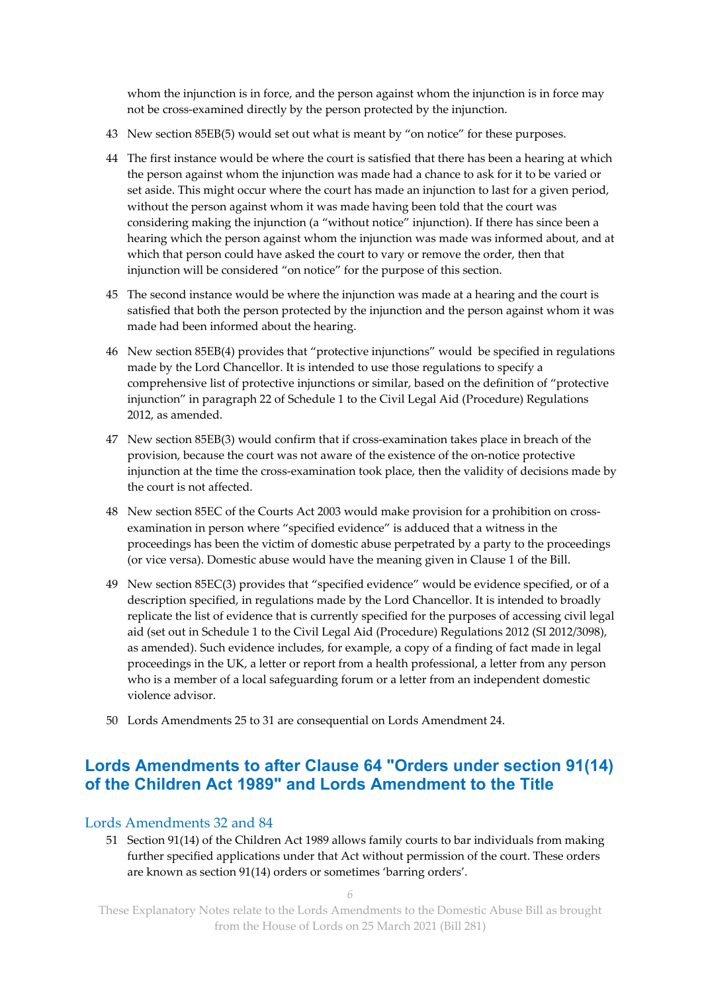whom the injunction is in force, and the person against whom the injunction is in force may not be cross-examined directly by the person protected by the injunction.

- 43 New section 85EB(5) would set out what is meant by "on notice" for these purposes.
- 44 The first instance would be where the court is satisfied that there has been a hearing at which the person against whom the injunction was made had a chance to ask for it to be varied or set aside. This might occur where the court has made an injunction to last for a given period, without the person against whom it was made having been told that the court was considering making the injunction (a "without notice" injunction). If there has since been a hearing which the person against whom the injunction was made was informed about, and at which that person could have asked the court to vary or remove the order, then that injunction will be considered "on notice" for the purpose of this section.
- 45 The second instance would be where the injunction was made at a hearing and the court is satisfied that both the person protected by the injunction and the person against whom it was made had been informed about the hearing.
- 46 New section 85EB(4) provides that "protective injunctions" would be specified in regulations made by the Lord Chancellor. It is intended to use those regulations to specify a comprehensive list of protective injunctions or similar, based on the definition of "protective injunction" in paragraph 22 of Schedule 1 to the Civil Legal Aid (Procedure) Regulations 2012, as amended.
- 47 New section 85EB(3) would confirm that if cross-examination takes place in breach of the provision, because the court was not aware of the existence of the on-notice protective injunction at the time the cross-examination took place, then the validity of decisions made by the court is not affected.
- 48 New section 85EC of the Courts Act 2003 would make provision for a prohibition on crossexamination in person where "specified evidence" is adduced that a witness in the proceedings has been the victim of domestic abuse perpetrated by a party to the proceedings (or vice versa). Domestic abuse would have the meaning given in Clause 1 of the Bill.
- 49 New section 85EC(3) provides that "specified evidence" would be evidence specified, or of a description specified, in regulations made by the Lord Chancellor. It is intended to broadly replicate the list of evidence that is currently specified for the purposes of accessing civil legal aid (set out in Schedule 1 to the Civil Legal Aid (Procedure) Regulations 2012 (SI 2012/3098), as amended). Such evidence includes, for example, a copy of a finding of fact made in legal proceedings in the UK, a letter or report from a health professional, a letter from any person who is a member of a local safeguarding forum or a letter from an independent domestic violence advisor.
- 50 Lords Amendments 25 to 31 are consequential on Lords Amendment 24.

## **Lords Amendments to after Clause 64 "Orders under section 91(14) of the Children Act 1989" and Lords Amendment to the Title**

#### Lords Amendments 32 and 84

51 Section 91(14) of the Children Act 1989 allows family courts to bar individuals from making further specified applications under that Act without permission of the court. These orders are known as section 91(14) orders or sometimes 'barring orders'.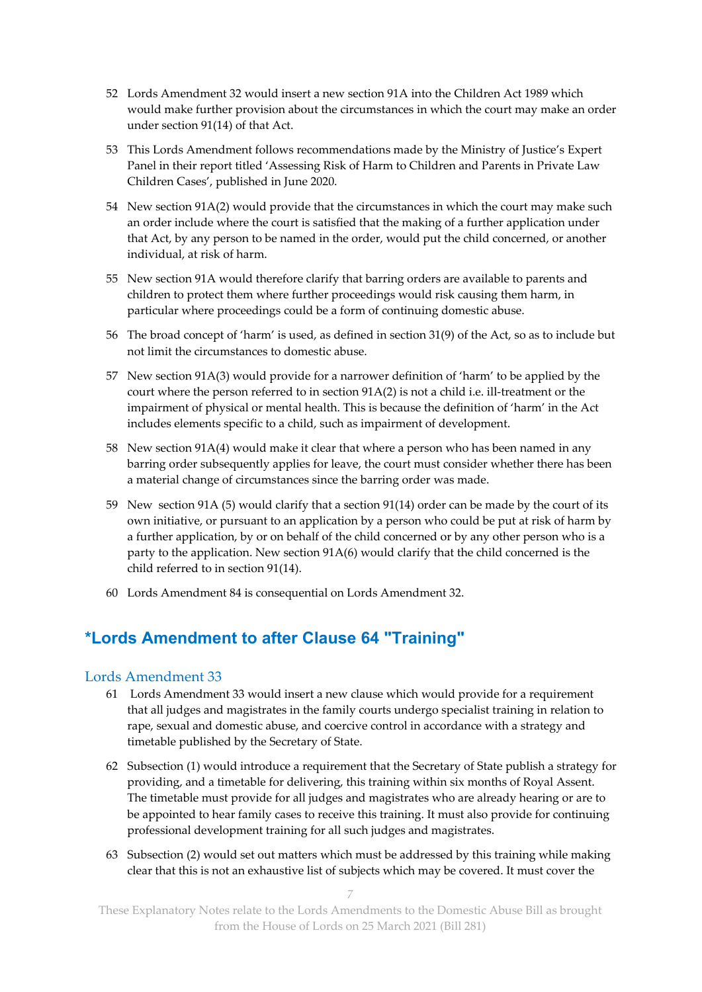- 52 Lords Amendment 32 would insert a new section 91A into the Children Act 1989 which would make further provision about the circumstances in which the court may make an order under section 91(14) of that Act.
- 53 This Lords Amendment follows recommendations made by the Ministry of Justice's Expert Panel in their report titled 'Assessing Risk of Harm to Children and Parents in Private Law Children Cases', published in June 2020.
- 54 New section 91A(2) would provide that the circumstances in which the court may make such an order include where the court is satisfied that the making of a further application under that Act, by any person to be named in the order, would put the child concerned, or another individual, at risk of harm.
- 55 New section 91A would therefore clarify that barring orders are available to parents and children to protect them where further proceedings would risk causing them harm, in particular where proceedings could be a form of continuing domestic abuse.
- 56 The broad concept of 'harm' is used, as defined in section 31(9) of the Act, so as to include but not limit the circumstances to domestic abuse.
- 57 New section 91A(3) would provide for a narrower definition of 'harm' to be applied by the court where the person referred to in section 91A(2) is not a child i.e. ill-treatment or the impairment of physical or mental health. This is because the definition of 'harm' in the Act includes elements specific to a child, such as impairment of development.
- 58 New section 91A(4) would make it clear that where a person who has been named in any barring order subsequently applies for leave, the court must consider whether there has been a material change of circumstances since the barring order was made.
- 59 New section 91A (5) would clarify that a section 91(14) order can be made by the court of its own initiative, or pursuant to an application by a person who could be put at risk of harm by a further application, by or on behalf of the child concerned or by any other person who is a party to the application. New section 91A(6) would clarify that the child concerned is the child referred to in section 91(14).
- 60 Lords Amendment 84 is consequential on Lords Amendment 32.

## **\*Lords Amendment to after Clause 64 "Training"**

#### Lords Amendment 33

- 61 Lords Amendment 33 would insert a new clause which would provide for a requirement that all judges and magistrates in the family courts undergo specialist training in relation to rape, sexual and domestic abuse, and coercive control in accordance with a strategy and timetable published by the Secretary of State.
- 62 Subsection (1) would introduce a requirement that the Secretary of State publish a strategy for providing, and a timetable for delivering, this training within six months of Royal Assent. The timetable must provide for all judges and magistrates who are already hearing or are to be appointed to hear family cases to receive this training. It must also provide for continuing professional development training for all such judges and magistrates.
- 63 Subsection (2) would set out matters which must be addressed by this training while making clear that this is not an exhaustive list of subjects which may be covered. It must cover the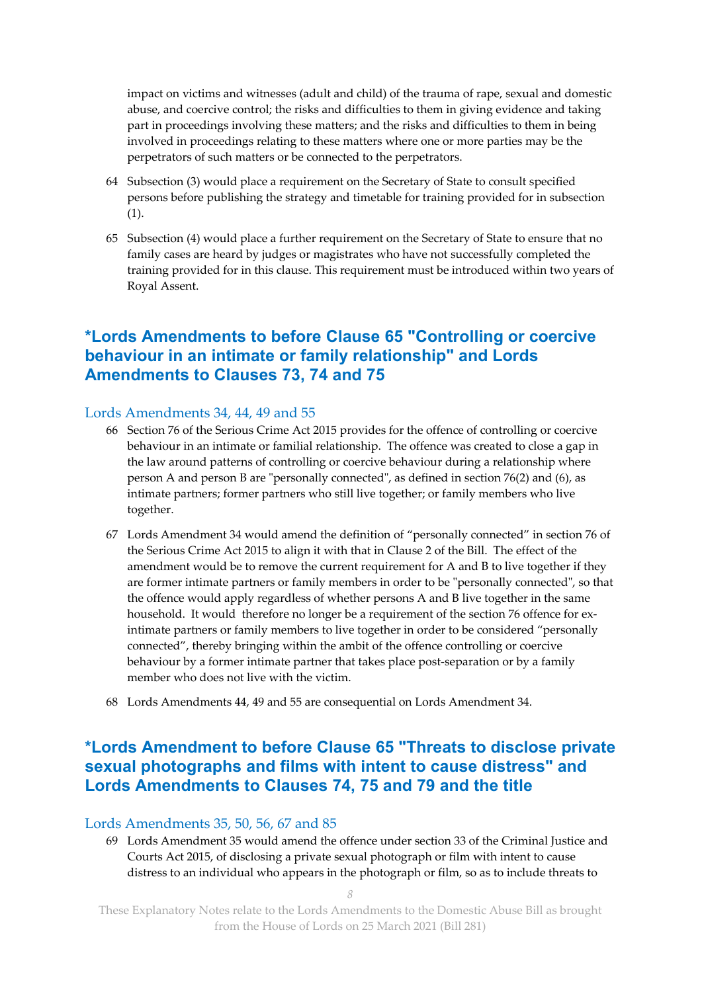impact on victims and witnesses (adult and child) of the trauma of rape, sexual and domestic abuse, and coercive control; the risks and difficulties to them in giving evidence and taking part in proceedings involving these matters; and the risks and difficulties to them in being involved in proceedings relating to these matters where one or more parties may be the perpetrators of such matters or be connected to the perpetrators.

- 64 Subsection (3) would place a requirement on the Secretary of State to consult specified persons before publishing the strategy and timetable for training provided for in subsection (1).
- 65 Subsection (4) would place a further requirement on the Secretary of State to ensure that no family cases are heard by judges or magistrates who have not successfully completed the training provided for in this clause. This requirement must be introduced within two years of Royal Assent.

## **\*Lords Amendments to before Clause 65 "Controlling or coercive behaviour in an intimate or family relationship" and Lords Amendments to Clauses 73, 74 and 75**

#### Lords Amendments 34, 44, 49 and 55

- 66 Section 76 of the Serious Crime Act 2015 provides for the offence of controlling or coercive behaviour in an intimate or familial relationship. The offence was created to close a gap in the law around patterns of controlling or coercive behaviour during a relationship where person A and person B are "personally connected", as defined in section 76(2) and (6), as intimate partners; former partners who still live together; or family members who live together.
- 67 Lords Amendment 34 would amend the definition of "personally connected" in section 76 of the Serious Crime Act 2015 to align it with that in Clause 2 of the Bill. The effect of the amendment would be to remove the current requirement for A and B to live together if they are former intimate partners or family members in order to be "personally connected", so that the offence would apply regardless of whether persons A and B live together in the same household. It would therefore no longer be a requirement of the section 76 offence for exintimate partners or family members to live together in order to be considered "personally connected", thereby bringing within the ambit of the offence controlling or coercive behaviour by a former intimate partner that takes place post-separation or by a family member who does not live with the victim.
- 68 Lords Amendments 44, 49 and 55 are consequential on Lords Amendment 34.

## **\*Lords Amendment to before Clause 65 "Threats to disclose private sexual photographs and films with intent to cause distress" and Lords Amendments to Clauses 74, 75 and 79 and the title**

#### Lords Amendments 35, 50, 56, 67 and 85

69 Lords Amendment 35 would amend the offence under section 33 of the Criminal Justice and Courts Act 2015, of disclosing a private sexual photograph or film with intent to cause distress to an individual who appears in the photograph or film, so as to include threats to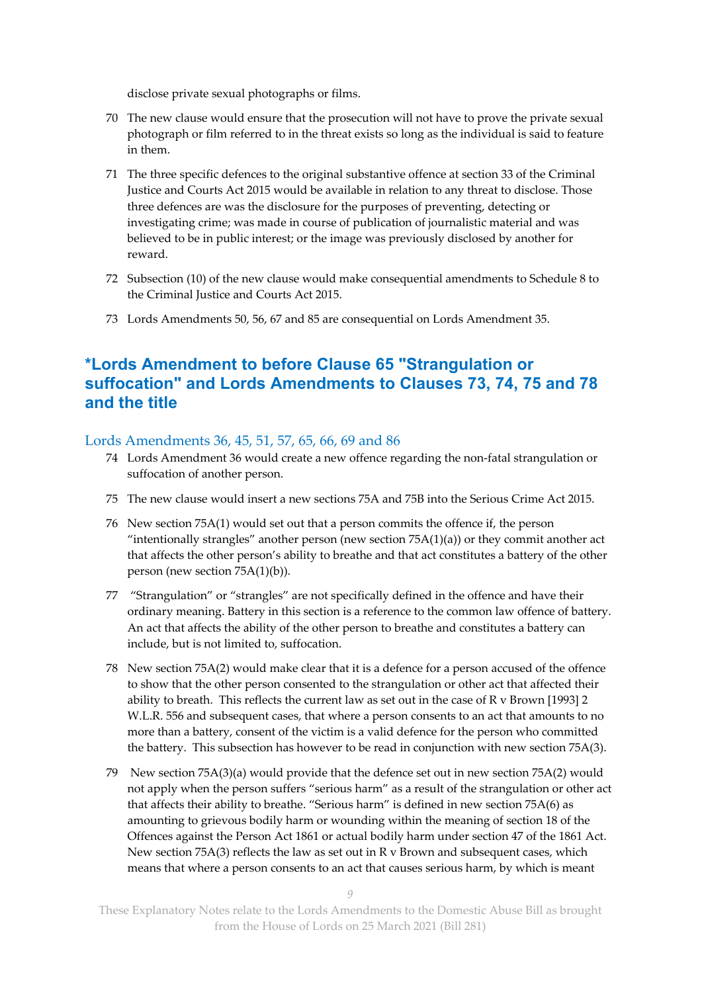disclose private sexual photographs or films.

- 70 The new clause would ensure that the prosecution will not have to prove the private sexual photograph or film referred to in the threat exists so long as the individual is said to feature in them.
- 71 The three specific defences to the original substantive offence at section 33 of the Criminal Justice and Courts Act 2015 would be available in relation to any threat to disclose. Those three defences are was the disclosure for the purposes of preventing, detecting or investigating crime; was made in course of publication of journalistic material and was believed to be in public interest; or the image was previously disclosed by another for reward.
- 72 Subsection (10) of the new clause would make consequential amendments to Schedule 8 to the Criminal Justice and Courts Act 2015.
- 73 Lords Amendments 50, 56, 67 and 85 are consequential on Lords Amendment 35.

## **\*Lords Amendment to before Clause 65 "Strangulation or suffocation" and Lords Amendments to Clauses 73, 74, 75 and 78 and the title**

#### Lords Amendments 36, 45, 51, 57, 65, 66, 69 and 86

- 74 Lords Amendment 36 would create a new offence regarding the non-fatal strangulation or suffocation of another person.
- 75 The new clause would insert a new sections 75A and 75B into the Serious Crime Act 2015.
- 76 New section 75A(1) would set out that a person commits the offence if, the person "intentionally strangles" another person (new section  $75A(1)(a)$ ) or they commit another act that affects the other person's ability to breathe and that act constitutes a battery of the other person (new section 75A(1)(b)).
- 77 "Strangulation" or "strangles" are not specifically defined in the offence and have their ordinary meaning. Battery in this section is a reference to the common law offence of battery. An act that affects the ability of the other person to breathe and constitutes a battery can include, but is not limited to, suffocation.
- 78 New section 75A(2) would make clear that it is a defence for a person accused of the offence to show that the other person consented to the strangulation or other act that affected their ability to breath. This reflects the current law as set out in the case of R v Brown [1993] 2 W.L.R. 556 and subsequent cases, that where a person consents to an act that amounts to no more than a battery, consent of the victim is a valid defence for the person who committed the battery. This subsection has however to be read in conjunction with new section 75A(3).
- 79 New section 75A(3)(a) would provide that the defence set out in new section 75A(2) would not apply when the person suffers "serious harm" as a result of the strangulation or other act that affects their ability to breathe. "Serious harm" is defined in new section 75A(6) as amounting to grievous bodily harm or wounding within the meaning of section 18 of the Offences against the Person Act 1861 or actual bodily harm under section 47 of the 1861 Act. New section 75A(3) reflects the law as set out in R v Brown and subsequent cases, which means that where a person consents to an act that causes serious harm, by which is meant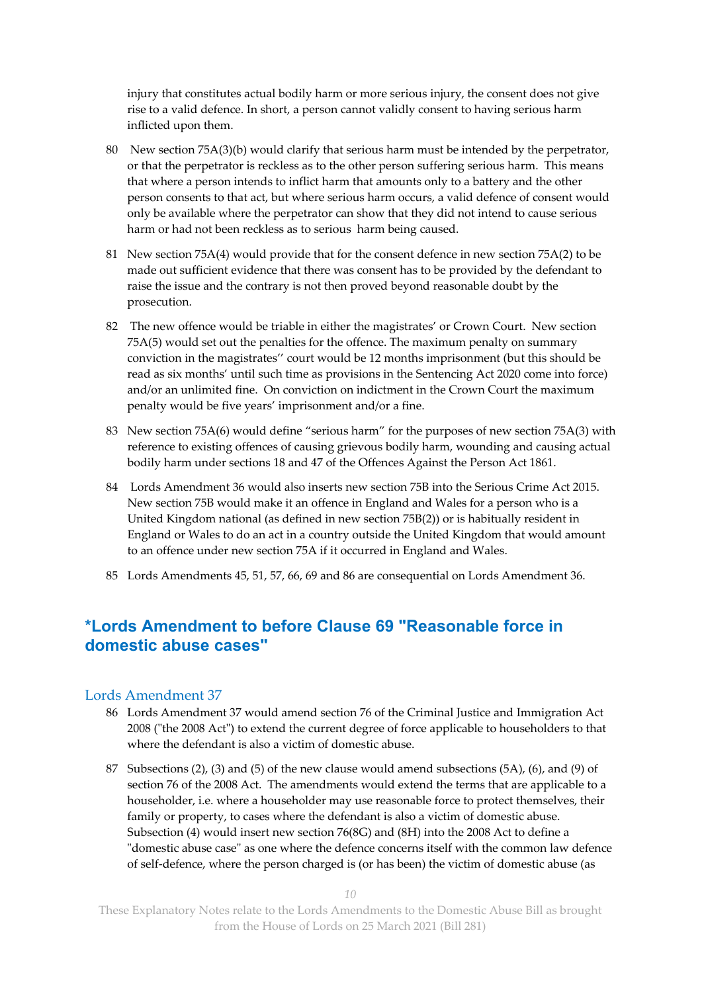injury that constitutes actual bodily harm or more serious injury, the consent does not give rise to a valid defence. In short, a person cannot validly consent to having serious harm inflicted upon them.

- 80 New section 75A(3)(b) would clarify that serious harm must be intended by the perpetrator, or that the perpetrator is reckless as to the other person suffering serious harm. This means that where a person intends to inflict harm that amounts only to a battery and the other person consents to that act, but where serious harm occurs, a valid defence of consent would only be available where the perpetrator can show that they did not intend to cause serious harm or had not been reckless as to serious harm being caused.
- 81 New section 75A(4) would provide that for the consent defence in new section 75A(2) to be made out sufficient evidence that there was consent has to be provided by the defendant to raise the issue and the contrary is not then proved beyond reasonable doubt by the prosecution.
- 82 The new offence would be triable in either the magistrates' or Crown Court. New section 75A(5) would set out the penalties for the offence. The maximum penalty on summary conviction in the magistrates'' court would be 12 months imprisonment (but this should be read as six months' until such time as provisions in the Sentencing Act 2020 come into force) and/or an unlimited fine. On conviction on indictment in the Crown Court the maximum penalty would be five years' imprisonment and/or a fine.
- 83 New section 75A(6) would define "serious harm" for the purposes of new section 75A(3) with reference to existing offences of causing grievous bodily harm, wounding and causing actual bodily harm under sections 18 and 47 of the Offences Against the Person Act 1861.
- 84 Lords Amendment 36 would also inserts new section 75B into the Serious Crime Act 2015. New section 75B would make it an offence in England and Wales for a person who is a United Kingdom national (as defined in new section 75B(2)) or is habitually resident in England or Wales to do an act in a country outside the United Kingdom that would amount to an offence under new section 75A if it occurred in England and Wales.
- 85 Lords Amendments 45, 51, 57, 66, 69 and 86 are consequential on Lords Amendment 36.

## **\*Lords Amendment to before Clause 69 "Reasonable force in domestic abuse cases"**

#### Lords Amendment 37

- 86 Lords Amendment 37 would amend section 76 of the Criminal Justice and Immigration Act 2008 ("the 2008 Act") to extend the current degree of force applicable to householders to that where the defendant is also a victim of domestic abuse.
- 87 Subsections (2), (3) and (5) of the new clause would amend subsections (5A), (6), and (9) of section 76 of the 2008 Act. The amendments would extend the terms that are applicable to a householder, i.e. where a householder may use reasonable force to protect themselves, their family or property, to cases where the defendant is also a victim of domestic abuse. Subsection (4) would insert new section 76(8G) and (8H) into the 2008 Act to define a "domestic abuse case" as one where the defence concerns itself with the common law defence of self-defence, where the person charged is (or has been) the victim of domestic abuse (as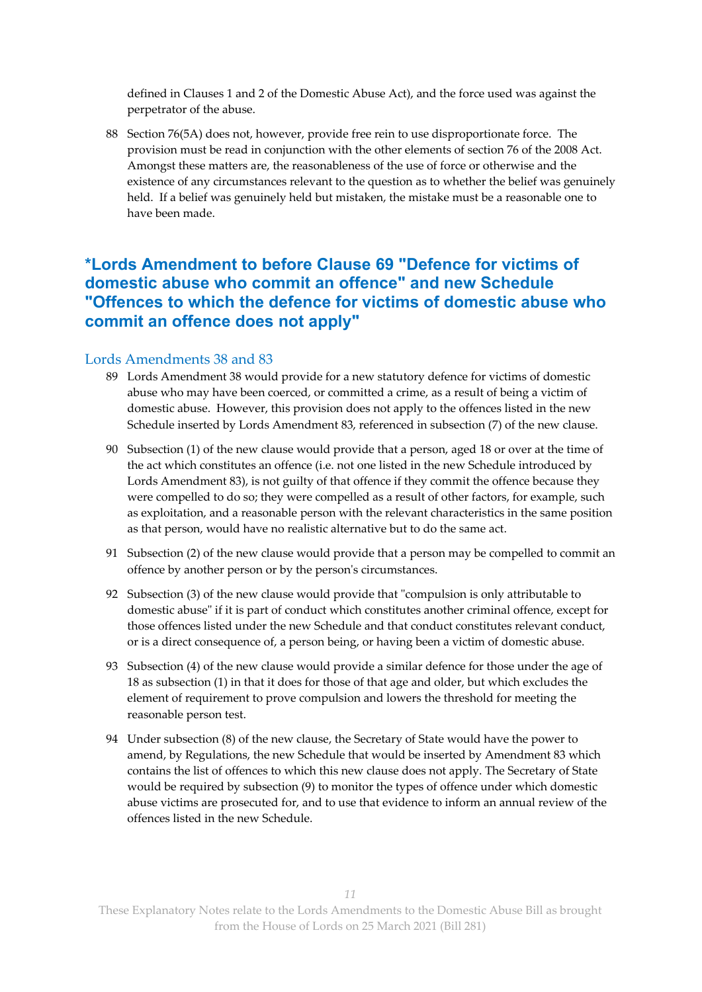defined in Clauses 1 and 2 of the Domestic Abuse Act), and the force used was against the perpetrator of the abuse.

88 Section 76(5A) does not, however, provide free rein to use disproportionate force. The provision must be read in conjunction with the other elements of section 76 of the 2008 Act. Amongst these matters are, the reasonableness of the use of force or otherwise and the existence of any circumstances relevant to the question as to whether the belief was genuinely held. If a belief was genuinely held but mistaken, the mistake must be a reasonable one to have been made.

## **\*Lords Amendment to before Clause 69 "Defence for victims of domestic abuse who commit an offence" and new Schedule "Offences to which the defence for victims of domestic abuse who commit an offence does not apply"**

#### Lords Amendments 38 and 83

- 89 Lords Amendment 38 would provide for a new statutory defence for victims of domestic abuse who may have been coerced, or committed a crime, as a result of being a victim of domestic abuse. However, this provision does not apply to the offences listed in the new Schedule inserted by Lords Amendment 83, referenced in subsection (7) of the new clause.
- 90 Subsection (1) of the new clause would provide that a person, aged 18 or over at the time of the act which constitutes an offence (i.e. not one listed in the new Schedule introduced by Lords Amendment 83), is not guilty of that offence if they commit the offence because they were compelled to do so; they were compelled as a result of other factors, for example, such as exploitation, and a reasonable person with the relevant characteristics in the same position as that person, would have no realistic alternative but to do the same act.
- 91 Subsection (2) of the new clause would provide that a person may be compelled to commit an offence by another person or by the person's circumstances.
- 92 Subsection (3) of the new clause would provide that "compulsion is only attributable to domestic abuse" if it is part of conduct which constitutes another criminal offence, except for those offences listed under the new Schedule and that conduct constitutes relevant conduct, or is a direct consequence of, a person being, or having been a victim of domestic abuse.
- 93 Subsection (4) of the new clause would provide a similar defence for those under the age of 18 as subsection (1) in that it does for those of that age and older, but which excludes the element of requirement to prove compulsion and lowers the threshold for meeting the reasonable person test.
- 94 Under subsection (8) of the new clause, the Secretary of State would have the power to amend, by Regulations, the new Schedule that would be inserted by Amendment 83 which contains the list of offences to which this new clause does not apply. The Secretary of State would be required by subsection (9) to monitor the types of offence under which domestic abuse victims are prosecuted for, and to use that evidence to inform an annual review of the offences listed in the new Schedule.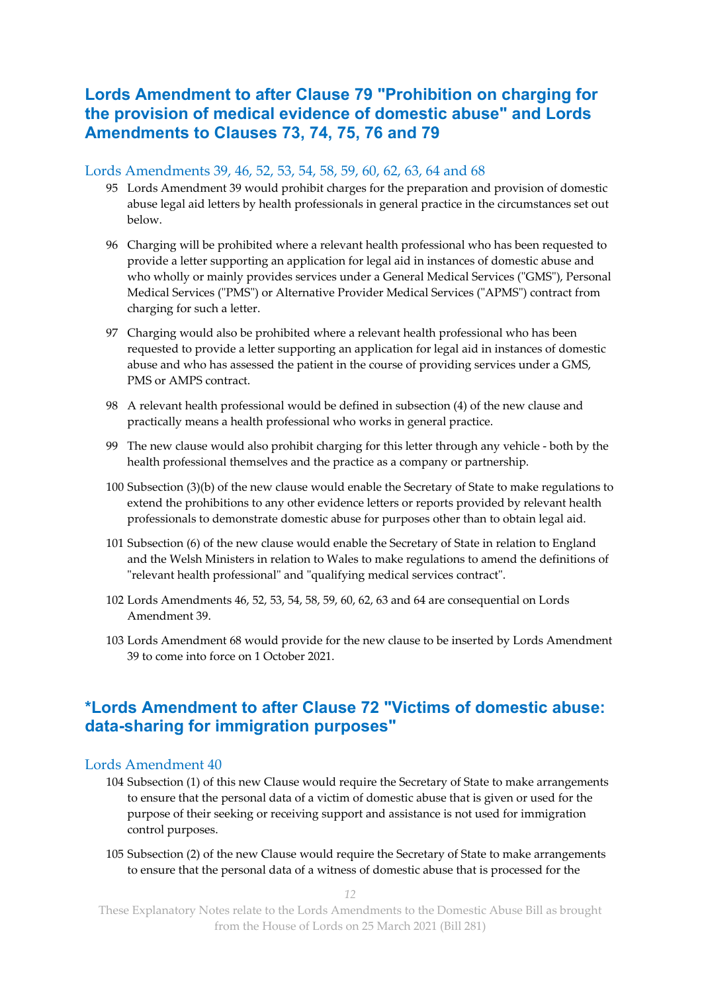## **Lords Amendment to after Clause 79 "Prohibition on charging for the provision of medical evidence of domestic abuse" and Lords Amendments to Clauses 73, 74, 75, 76 and 79**

#### Lords Amendments 39, 46, 52, 53, 54, 58, 59, 60, 62, 63, 64 and 68

- 95 Lords Amendment 39 would prohibit charges for the preparation and provision of domestic abuse legal aid letters by health professionals in general practice in the circumstances set out below.
- 96 Charging will be prohibited where a relevant health professional who has been requested to provide a letter supporting an application for legal aid in instances of domestic abuse and who wholly or mainly provides services under a General Medical Services ("GMS"), Personal Medical Services ("PMS") or Alternative Provider Medical Services ("APMS") contract from charging for such a letter.
- 97 Charging would also be prohibited where a relevant health professional who has been requested to provide a letter supporting an application for legal aid in instances of domestic abuse and who has assessed the patient in the course of providing services under a GMS, PMS or AMPS contract.
- 98 A relevant health professional would be defined in subsection (4) of the new clause and practically means a health professional who works in general practice.
- 99 The new clause would also prohibit charging for this letter through any vehicle both by the health professional themselves and the practice as a company or partnership.
- 100 Subsection (3)(b) of the new clause would enable the Secretary of State to make regulations to extend the prohibitions to any other evidence letters or reports provided by relevant health professionals to demonstrate domestic abuse for purposes other than to obtain legal aid.
- 101 Subsection (6) of the new clause would enable the Secretary of State in relation to England and the Welsh Ministers in relation to Wales to make regulations to amend the definitions of "relevant health professional" and "qualifying medical services contract".
- 102 Lords Amendments 46, 52, 53, 54, 58, 59, 60, 62, 63 and 64 are consequential on Lords Amendment 39.
- 103 Lords Amendment 68 would provide for the new clause to be inserted by Lords Amendment 39 to come into force on 1 October 2021.

## **\*Lords Amendment to after Clause 72 "Victims of domestic abuse: data-sharing for immigration purposes"**

#### Lords Amendment 40

- 104 Subsection (1) of this new Clause would require the Secretary of State to make arrangements to ensure that the personal data of a victim of domestic abuse that is given or used for the purpose of their seeking or receiving support and assistance is not used for immigration control purposes.
- 105 Subsection (2) of the new Clause would require the Secretary of State to make arrangements to ensure that the personal data of a witness of domestic abuse that is processed for the

*12*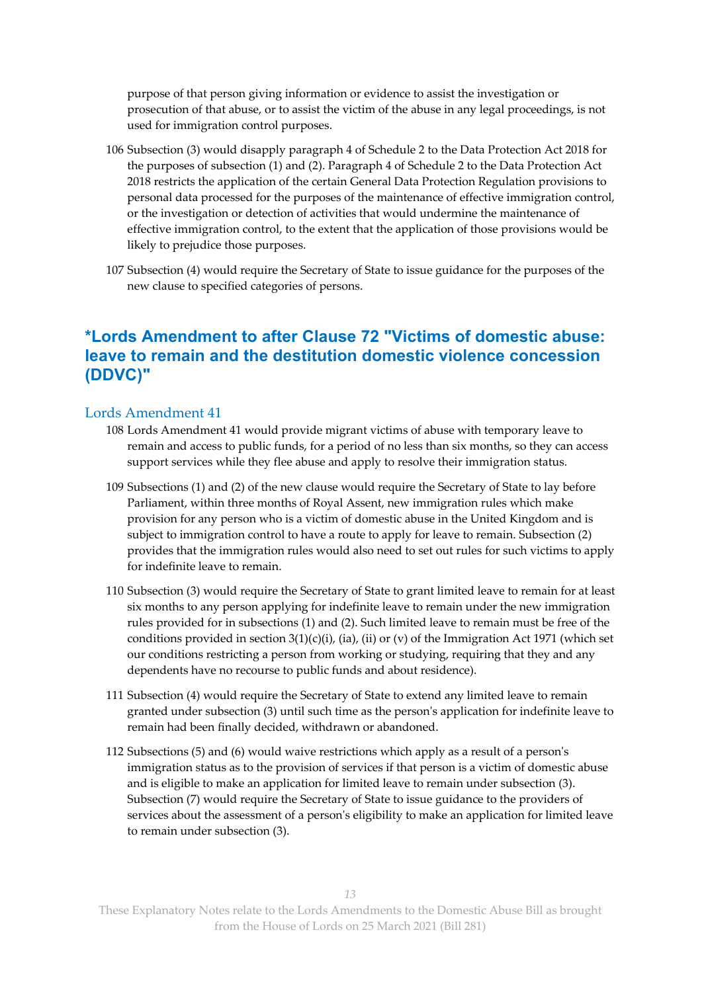purpose of that person giving information or evidence to assist the investigation or prosecution of that abuse, or to assist the victim of the abuse in any legal proceedings, is not used for immigration control purposes.

- 106 Subsection (3) would disapply paragraph 4 of Schedule 2 to the Data Protection Act 2018 for the purposes of subsection (1) and (2). Paragraph 4 of Schedule 2 to the Data Protection Act 2018 restricts the application of the certain General Data Protection Regulation provisions to personal data processed for the purposes of the maintenance of effective immigration control, or the investigation or detection of activities that would undermine the maintenance of effective immigration control, to the extent that the application of those provisions would be likely to prejudice those purposes.
- 107 Subsection (4) would require the Secretary of State to issue guidance for the purposes of the new clause to specified categories of persons.

## **\*Lords Amendment to after Clause 72 "Victims of domestic abuse: leave to remain and the destitution domestic violence concession (DDVC)"**

#### Lords Amendment 41

- 108 Lords Amendment 41 would provide migrant victims of abuse with temporary leave to remain and access to public funds, for a period of no less than six months, so they can access support services while they flee abuse and apply to resolve their immigration status.
- 109 Subsections (1) and (2) of the new clause would require the Secretary of State to lay before Parliament, within three months of Royal Assent, new immigration rules which make provision for any person who is a victim of domestic abuse in the United Kingdom and is subject to immigration control to have a route to apply for leave to remain. Subsection (2) provides that the immigration rules would also need to set out rules for such victims to apply for indefinite leave to remain.
- 110 Subsection (3) would require the Secretary of State to grant limited leave to remain for at least six months to any person applying for indefinite leave to remain under the new immigration rules provided for in subsections (1) and (2). Such limited leave to remain must be free of the conditions provided in section  $3(1)(c)(i)$ , (ia), (ii) or (v) of the Immigration Act 1971 (which set our conditions restricting a person from working or studying, requiring that they and any dependents have no recourse to public funds and about residence).
- 111 Subsection (4) would require the Secretary of State to extend any limited leave to remain granted under subsection (3) until such time as the person's application for indefinite leave to remain had been finally decided, withdrawn or abandoned.
- 112 Subsections (5) and (6) would waive restrictions which apply as a result of a person's immigration status as to the provision of services if that person is a victim of domestic abuse and is eligible to make an application for limited leave to remain under subsection (3). Subsection (7) would require the Secretary of State to issue guidance to the providers of services about the assessment of a person's eligibility to make an application for limited leave to remain under subsection (3).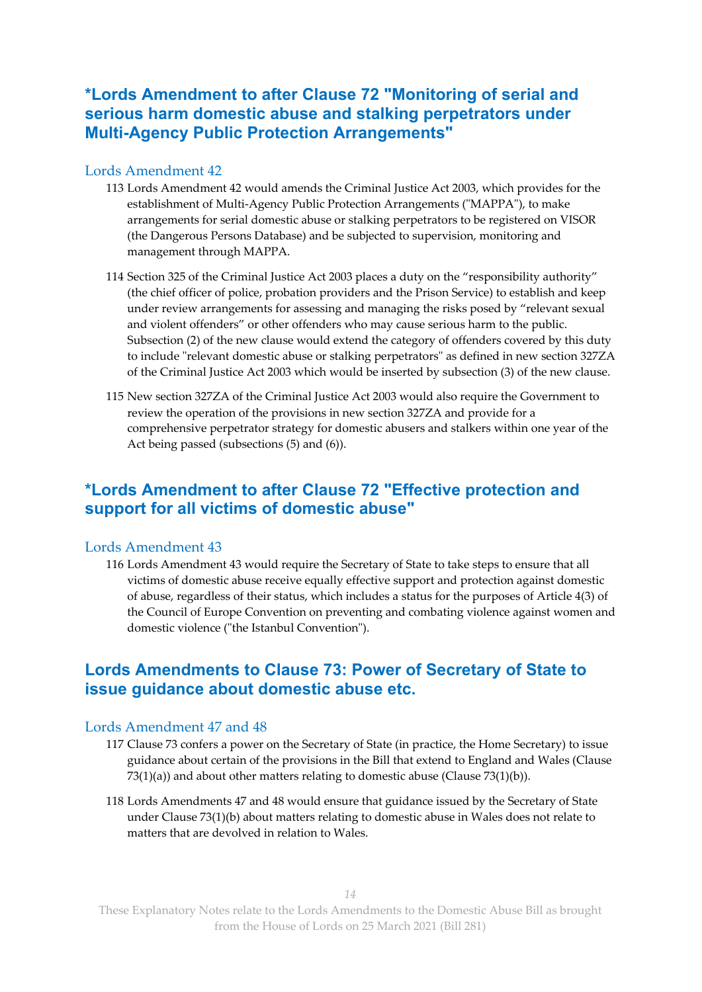## **\*Lords Amendment to after Clause 72 "Monitoring of serial and serious harm domestic abuse and stalking perpetrators under Multi-Agency Public Protection Arrangements"**

#### Lords Amendment 42

- 113 Lords Amendment 42 would amends the Criminal Justice Act 2003, which provides for the establishment of Multi-Agency Public Protection Arrangements ("MAPPA"), to make arrangements for serial domestic abuse or stalking perpetrators to be registered on VISOR (the Dangerous Persons Database) and be subjected to supervision, monitoring and management through MAPPA.
- 114 Section 325 of the Criminal Justice Act 2003 places a duty on the "responsibility authority" (the chief officer of police, probation providers and the Prison Service) to establish and keep under review arrangements for assessing and managing the risks posed by "relevant sexual and violent offenders" or other offenders who may cause serious harm to the public. Subsection (2) of the new clause would extend the category of offenders covered by this duty to include "relevant domestic abuse or stalking perpetrators" as defined in new section 327ZA of the Criminal Justice Act 2003 which would be inserted by subsection (3) of the new clause.
- 115 New section 327ZA of the Criminal Justice Act 2003 would also require the Government to review the operation of the provisions in new section 327ZA and provide for a comprehensive perpetrator strategy for domestic abusers and stalkers within one year of the Act being passed (subsections (5) and (6)).

## **\*Lords Amendment to after Clause 72 "Effective protection and support for all victims of domestic abuse"**

#### Lords Amendment 43

116 Lords Amendment 43 would require the Secretary of State to take steps to ensure that all victims of domestic abuse receive equally effective support and protection against domestic of abuse, regardless of their status, which includes a status for the purposes of Article 4(3) of the Council of Europe Convention on preventing and combating violence against women and domestic violence ("the Istanbul Convention").

## **Lords Amendments to Clause 73: Power of Secretary of State to issue guidance about domestic abuse etc.**

#### Lords Amendment 47 and 48

- 117 Clause 73 confers a power on the Secretary of State (in practice, the Home Secretary) to issue guidance about certain of the provisions in the Bill that extend to England and Wales (Clause 73(1)(a)) and about other matters relating to domestic abuse (Clause 73(1)(b)).
- 118 Lords Amendments 47 and 48 would ensure that guidance issued by the Secretary of State under Clause 73(1)(b) about matters relating to domestic abuse in Wales does not relate to matters that are devolved in relation to Wales.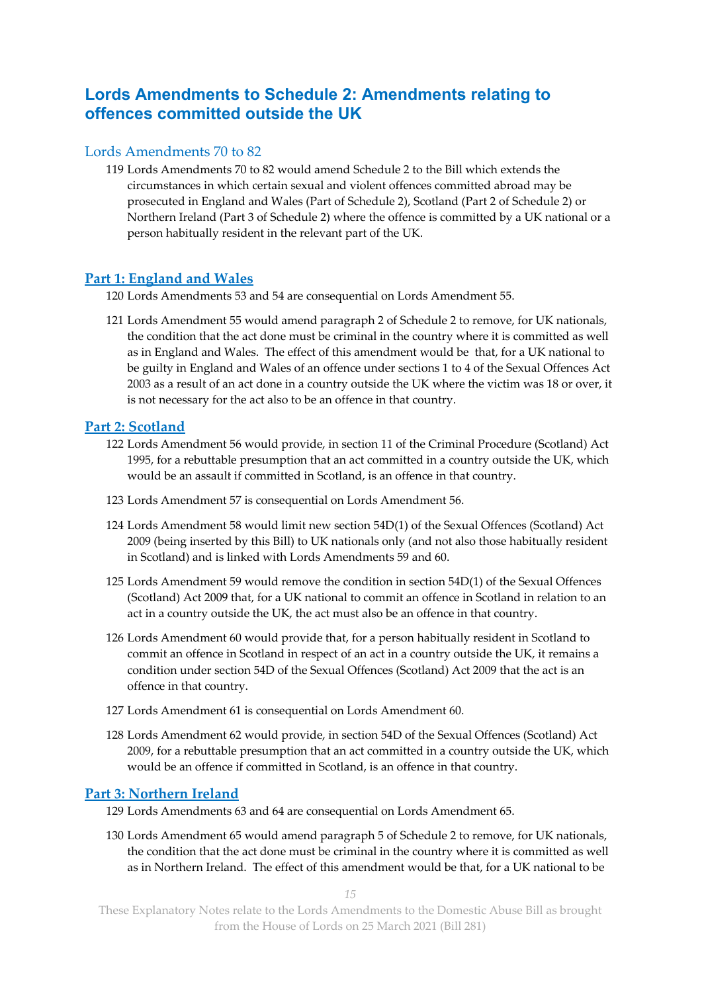## **Lords Amendments to Schedule 2: Amendments relating to offences committed outside the UK**

#### Lords Amendments 70 to 82

119 Lords Amendments 70 to 82 would amend Schedule 2 to the Bill which extends the circumstances in which certain sexual and violent offences committed abroad may be prosecuted in England and Wales (Part of Schedule 2), Scotland (Part 2 of Schedule 2) or Northern Ireland (Part 3 of Schedule 2) where the offence is committed by a UK national or a person habitually resident in the relevant part of the UK.

#### **Part 1: England and Wales**

120 Lords Amendments 53 and 54 are consequential on Lords Amendment 55.

121 Lords Amendment 55 would amend paragraph 2 of Schedule 2 to remove, for UK nationals, the condition that the act done must be criminal in the country where it is committed as well as in England and Wales. The effect of this amendment would be that, for a UK national to be guilty in England and Wales of an offence under sections 1 to 4 of the Sexual Offences Act 2003 as a result of an act done in a country outside the UK where the victim was 18 or over, it is not necessary for the act also to be an offence in that country.

#### **Part 2: Scotland**

- 122 Lords Amendment 56 would provide, in section 11 of the Criminal Procedure (Scotland) Act 1995, for a rebuttable presumption that an act committed in a country outside the UK, which would be an assault if committed in Scotland, is an offence in that country.
- 123 Lords Amendment 57 is consequential on Lords Amendment 56.
- 124 Lords Amendment 58 would limit new section 54D(1) of the Sexual Offences (Scotland) Act 2009 (being inserted by this Bill) to UK nationals only (and not also those habitually resident in Scotland) and is linked with Lords Amendments 59 and 60.
- 125 Lords Amendment 59 would remove the condition in section 54D(1) of the Sexual Offences (Scotland) Act 2009 that, for a UK national to commit an offence in Scotland in relation to an act in a country outside the UK, the act must also be an offence in that country.
- 126 Lords Amendment 60 would provide that, for a person habitually resident in Scotland to commit an offence in Scotland in respect of an act in a country outside the UK, it remains a condition under section 54D of the Sexual Offences (Scotland) Act 2009 that the act is an offence in that country.
- 127 Lords Amendment 61 is consequential on Lords Amendment 60.
- 128 Lords Amendment 62 would provide, in section 54D of the Sexual Offences (Scotland) Act 2009, for a rebuttable presumption that an act committed in a country outside the UK, which would be an offence if committed in Scotland, is an offence in that country.

#### **Part 3: Northern Ireland**

- 129 Lords Amendments 63 and 64 are consequential on Lords Amendment 65.
- 130 Lords Amendment 65 would amend paragraph 5 of Schedule 2 to remove, for UK nationals, the condition that the act done must be criminal in the country where it is committed as well as in Northern Ireland. The effect of this amendment would be that, for a UK national to be

*15*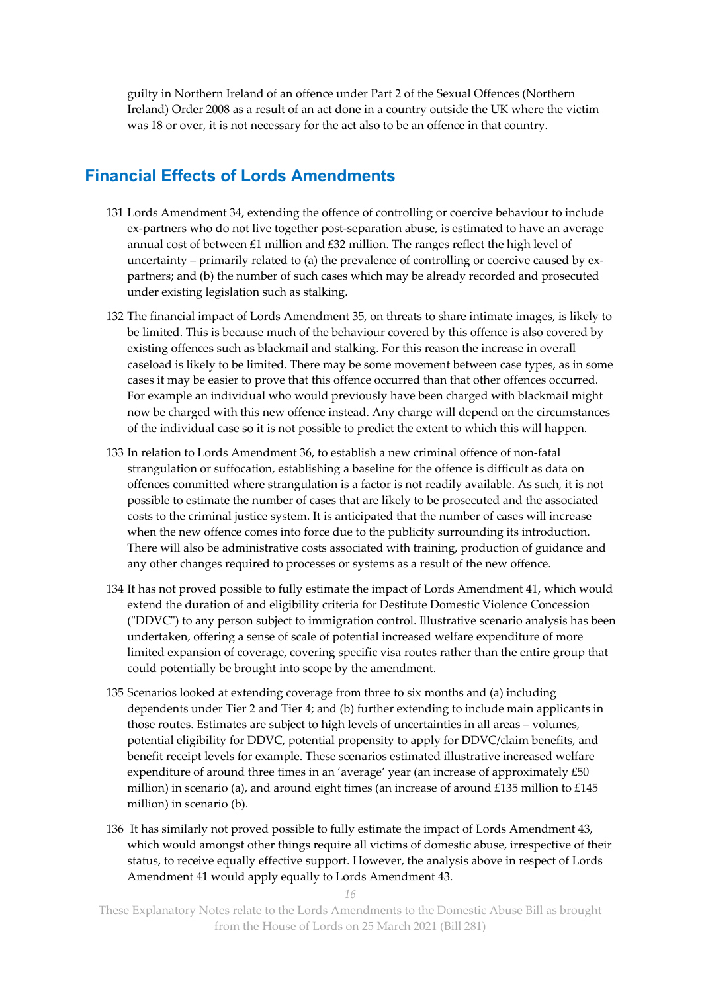guilty in Northern Ireland of an offence under Part 2 of the Sexual Offences (Northern Ireland) Order 2008 as a result of an act done in a country outside the UK where the victim was 18 or over, it is not necessary for the act also to be an offence in that country.

## **Financial Effects of Lords Amendments**

- 131 Lords Amendment 34, extending the offence of controlling or coercive behaviour to include ex-partners who do not live together post-separation abuse, is estimated to have an average annual cost of between  $£1$  million and  $£32$  million. The ranges reflect the high level of uncertainty – primarily related to (a) the prevalence of controlling or coercive caused by expartners; and (b) the number of such cases which may be already recorded and prosecuted under existing legislation such as stalking.
- 132 The financial impact of Lords Amendment 35, on threats to share intimate images, is likely to be limited. This is because much of the behaviour covered by this offence is also covered by existing offences such as blackmail and stalking. For this reason the increase in overall caseload is likely to be limited. There may be some movement between case types, as in some cases it may be easier to prove that this offence occurred than that other offences occurred. For example an individual who would previously have been charged with blackmail might now be charged with this new offence instead. Any charge will depend on the circumstances of the individual case so it is not possible to predict the extent to which this will happen.
- 133 In relation to Lords Amendment 36, to establish a new criminal offence of non-fatal strangulation or suffocation, establishing a baseline for the offence is difficult as data on offences committed where strangulation is a factor is not readily available. As such, it is not possible to estimate the number of cases that are likely to be prosecuted and the associated costs to the criminal justice system. It is anticipated that the number of cases will increase when the new offence comes into force due to the publicity surrounding its introduction. There will also be administrative costs associated with training, production of guidance and any other changes required to processes or systems as a result of the new offence.
- 134 It has not proved possible to fully estimate the impact of Lords Amendment 41, which would extend the duration of and eligibility criteria for Destitute Domestic Violence Concession ("DDVC") to any person subject to immigration control. Illustrative scenario analysis has been undertaken, offering a sense of scale of potential increased welfare expenditure of more limited expansion of coverage, covering specific visa routes rather than the entire group that could potentially be brought into scope by the amendment.
- 135 Scenarios looked at extending coverage from three to six months and (a) including dependents under Tier 2 and Tier 4; and (b) further extending to include main applicants in those routes. Estimates are subject to high levels of uncertainties in all areas – volumes, potential eligibility for DDVC, potential propensity to apply for DDVC/claim benefits, and benefit receipt levels for example. These scenarios estimated illustrative increased welfare expenditure of around three times in an 'average' year (an increase of approximately £50 million) in scenario (a), and around eight times (an increase of around £135 million to £145 million) in scenario (b).
- 136 It has similarly not proved possible to fully estimate the impact of Lords Amendment 43, which would amongst other things require all victims of domestic abuse, irrespective of their status, to receive equally effective support. However, the analysis above in respect of Lords Amendment 41 would apply equally to Lords Amendment 43.

*16*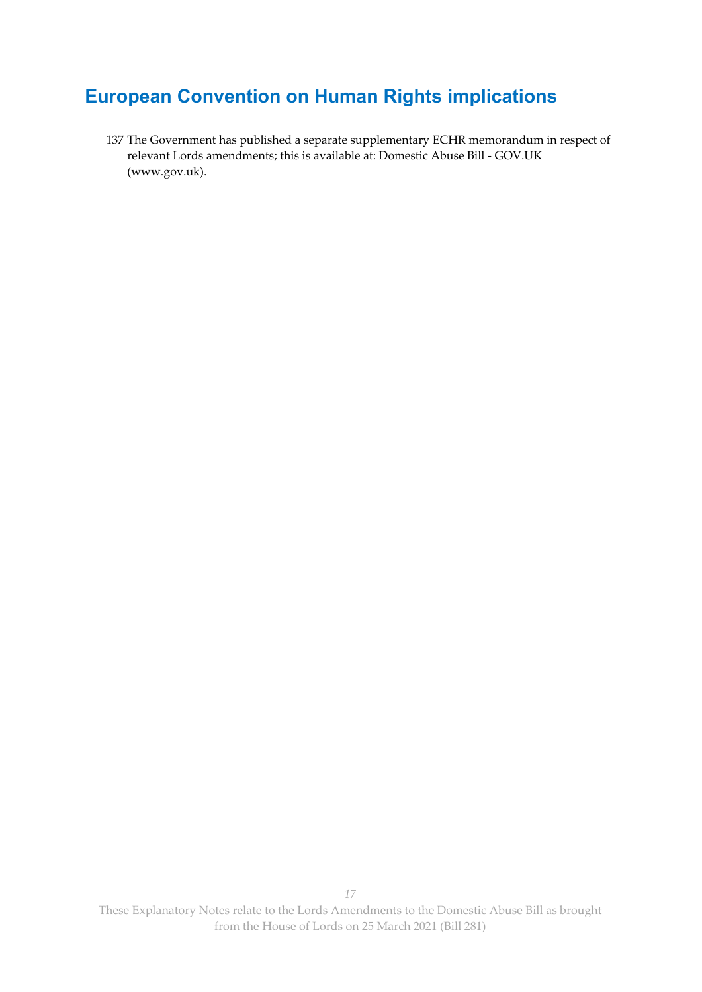## **European Convention on Human Rights implications**

137 The Government has published a separate supplementary ECHR memorandum in respect of relevant Lords amendments; this is available at: Domestic Abuse Bill - GOV.UK (www.gov.uk).